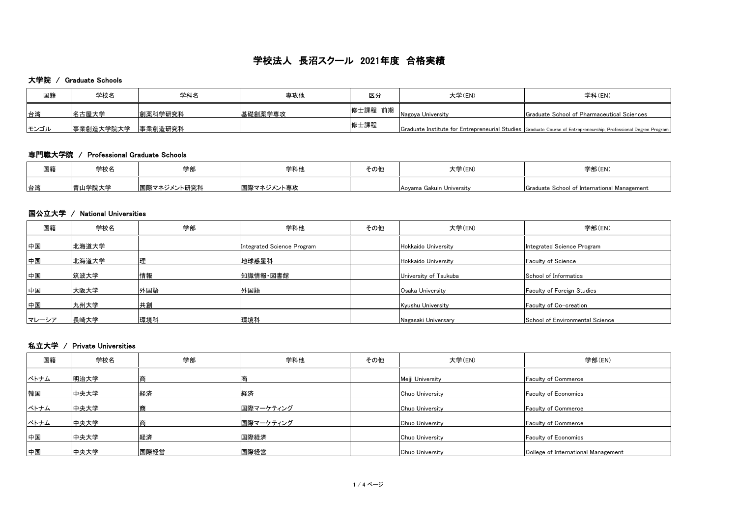#### 大学院 / Graduate Schools

| 国籍   | 学校名        | 学科名     | 専攻他     | 区分      | 大学(EN)            | 学科(EN)                                                                                                          |
|------|------------|---------|---------|---------|-------------------|-----------------------------------------------------------------------------------------------------------------|
| 台湾   | 名古屋大学      | 創薬科学研究科 | 基礎創薬学専攻 | 修士課程 前期 | Nagoya University | <b>S</b> Graduate School of Pharmaceutical Sciences                                                             |
| モンゴル | 「事業創造大学院大学 | 事業創造研究科 |         | 修士課程    |                   | Graduate Institute for Entrepreneurial Studies Graduate Course of Entrepreneurship, Professional Degree Program |

#### 専門職大学院 / Professional Graduate Schools

| 国籍 | 学校名   | 学部           | 学科他        | その他 | 大学(EN)                   | 学部(EN)                                      |
|----|-------|--------------|------------|-----|--------------------------|---------------------------------------------|
| 台湾 | 山学院大学 | ┃国際マネジメント研究科 | 困際マネジメント専攻 |     | Aoyama Gakuin University | Graduate School of International Management |

#### 国公立大学 / National Universities

| 国籍    | 学校名   | 学部  | 学科他                        | その他 | 大学(EN)                | 学部(EN)                            |
|-------|-------|-----|----------------------------|-----|-----------------------|-----------------------------------|
| 中国    | 北海道大学 |     | Integrated Science Program |     | Hokkaido University   | Integrated Science Program        |
| 中国    | 北海道大学 |     | 地球惑星科                      |     | Hokkaido University   | <b>Faculty of Science</b>         |
| 中国    | 筑波大学  | 情報  | 知識情報・図書館                   |     | University of Tsukuba | School of Informatics             |
| 中国    | 大阪大学  | 外国語 | 外国語                        |     | Osaka University      | <b>Faculty of Foreign Studies</b> |
| 中国    | 九州大学  | 共創  |                            |     | Kyushu University     | Faculty of Co-creation            |
| マレーシア | 長崎大学  | 環境科 | 環境科                        |     | Nagasaki Universary   | School of Environmental Science   |

### 私立大学 / Private Universities

| 国籍   | 学校名  | 学部   | 学科他       | その他 | 大学(EN)           | 学部(EN)                              |
|------|------|------|-----------|-----|------------------|-------------------------------------|
| ベトナム | 明治大学 |      |           |     | Meiji University | <b>Faculty of Commerce</b>          |
| 韓国   | 中央大学 | 経済   | 経済        |     | Chuo University  | <b>Faculty of Economics</b>         |
| ベトナム | 中央大学 |      | 困際マーケティング |     | Chuo University  | <b>Faculty of Commerce</b>          |
| ベトナム | 中央大学 |      | 困際マーケティング |     | Chuo University  | <b>Faculty of Commerce</b>          |
| 中国   | 中央大学 | 経済   | 国際経済      |     | Chuo University  | <b>Faculty of Economics</b>         |
| 中国   | 中央大学 | 国際経営 | 国際経営      |     | Chuo University  | College of International Management |

# 学校法人 長沼スクール 2021年度 合格実績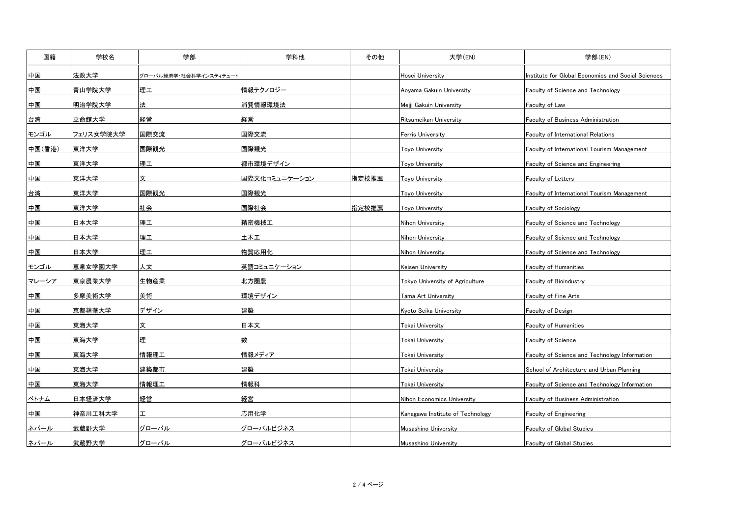| 国籍     | 学校名       | 学部                     | 学科他                 | その他   | 大学(EN)                           | 学部(EN)                                             |
|--------|-----------|------------------------|---------------------|-------|----------------------------------|----------------------------------------------------|
| 回中     | 法政大学      | グローバル経済学・社会科学インスティテュート |                     |       | Hosei University                 | Institute for Global Economics and Social Sciences |
| 中国     | 青山学院大学    | 理工                     | 情報テクノロジー            |       | Aoyama Gakuin University         | <b>Faculty of Science and Technology</b>           |
| 中国     | 明治学院大学    | 法                      | <u>消費情報環境法</u>      |       | Meiji Gakuin University          | <b>Faculty of Law</b>                              |
| 台湾     | 立命館大学     | 経営                     | 経営                  |       | Ritsumeikan University           | <b>Faculty of Business Administration</b>          |
| モンゴル   | フェリス女学院大学 | 国際交流                   | 国際交流                |       | <b>Ferris University</b>         | <b>Faculty of International Relations</b>          |
| 中国(香港) | 東洋大学      | 国際観光                   | 国際観光                |       | <b>Toyo University</b>           | <b>Faculty of International Tourism Management</b> |
| 中国     | 東洋大学      | 理工                     | <u>  都市環境デザイン</u>   |       | <b>Toyo University</b>           | <b>Faculty of Science and Engineering</b>          |
| 中国     | 東洋大学      | 文                      | 国際文化コミュニケーション       | 指定校推薦 | <b>Toyo University</b>           | <b>Faculty of Letters</b>                          |
| 台湾     | 東洋大学      | 国際観光                   | 国際観光                |       | <b>Toyo University</b>           | <b>Faculty of International Tourism Management</b> |
| 中国     | 東洋大学      | 社会                     | 国際社会                | 指定校推薦 | <b>Toyo University</b>           | Faculty of Sociology                               |
| 中国     | 日本大学      | 理工                     | 精密機械工               |       | Nihon University                 | <b>Faculty of Science and Technology</b>           |
| 国中     | 日本大学      | 理工                     | 土木工                 |       | Nihon University                 | <b>Faculty of Science and Technology</b>           |
| 中国     | 日本大学      | 理工                     | │物質応用化              |       | Nihon University                 | <b>Faculty of Science and Technology</b>           |
| モンゴル   | 恵泉女学園大学   | 人文                     | <u> 英語コミュニケーション</u> |       | Keisen University                | <b>Faculty of Humanities</b>                       |
| マレーシア  | 東京農業大学    | 生物産業                   | 北方圏農                |       | Tokyo University of Agriculture  | <b>Faculty of Bioindustry</b>                      |
| 中国     | 多摩美術大学    | 美術                     | 環境デザイン              |       | Tama Art University              | <b>Faculty of Fine Arts</b>                        |
| 国中     | 京都精華大学    | デザイン                   | 建築                  |       | Kyoto Seika University           | <b>Faculty of Design</b>                           |
| 中国     | 東海大学      | 文                      | <u>日本文</u>          |       | Tokai University                 | <b>Faculty of Humanities</b>                       |
| 中国     | 東海大学      | 理                      | 数                   |       | Tokai University                 | <b>Faculty of Science</b>                          |
| 中国     | 東海大学      | 情報理工                   | 情報メディア              |       | <b>Tokai University</b>          | Faculty of Science and Technology Information      |
| 中国     | 東海大学      | 建築都市                   | <u>建築</u>           |       | Tokai University                 | School of Architecture and Urban Planning          |
| 中国     | 東海大学      | 情報理工                   | 情報科                 |       | Tokai University                 | Faculty of Science and Technology Information      |
| ベトナム   | 日本経済大学    | 経営                     | 経営                  |       | Nihon Economics University       | <b>Faculty of Business Administration</b>          |
| 中国     | 柏奈川工科大学   |                        | 応用化学                |       | Kanagawa Institute of Technology | <b>Faculty of Engineering</b>                      |
| ネパール   | 武蔵野大学     | グローバル                  | グローバルビジネス           |       | Musashino University             | <b>Faculty of Global Studies</b>                   |
| ネパール   | 武蔵野大学     | グローバル                  | <u> グローバルビジネス </u>  |       | Musashino University             | <b>Faculty of Global Studies</b>                   |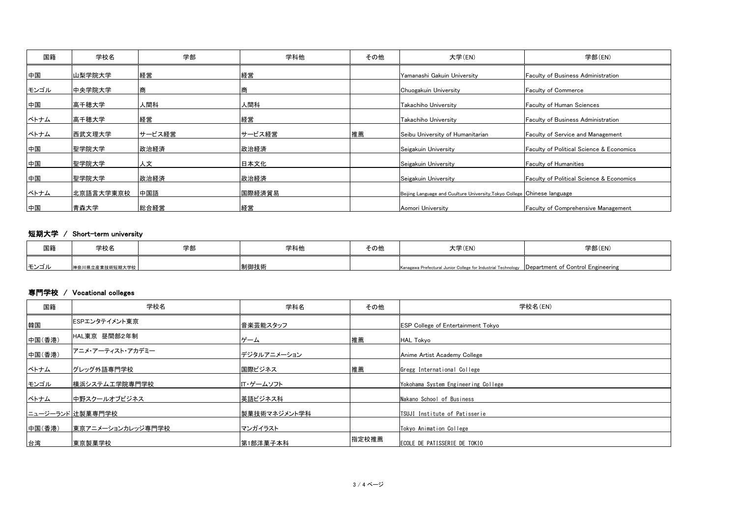| 国籍   | 学校名       | 学部     | 学科他    | その他 | 大学(EN)                                                                   | 学部(EN)                                              |
|------|-----------|--------|--------|-----|--------------------------------------------------------------------------|-----------------------------------------------------|
| 中国   | 山梨学院大学    | 経営     | 経営     |     | Yamanashi Gakuin University                                              | <b>Faculty of Business Administration</b>           |
| モンゴル | 中央学院大学    | 商      |        |     | Chuogakuin University                                                    | <b>Faculty of Commerce</b>                          |
| 中国   | 高千穂大学     | 人間科    | 人間科    |     | <b>Takachiho University</b>                                              | <b>Faculty of Human Sciences</b>                    |
| ベトナム | 高千穂大学     | 経営     | 経営     |     | Takachiho University                                                     | <b>Faculty of Business Administration</b>           |
| ベトナム | 西武文理大学    | サービス経営 | サービス経営 | 推薦  | Seibu University of Humanitarian                                         | <b>Faculty of Service and Management</b>            |
| 中国   | 聖学院大学     | 政治経済   | 政治経済   |     | Seigakuin University                                                     | <b>Faculty of Political Science &amp; Economics</b> |
| 中国   | 聖学院大学     | 人文     | 日本文化   |     | Seigakuin University                                                     | <b>Faculty of Humanities</b>                        |
| 中国   | 聖学院大学     | 政治経済   | 政治経済   |     | Seigakuin University                                                     | <b>Faculty of Political Science &amp; Economics</b> |
| ベトナム | 北京語言大学東京校 | 中国語    | 国際経済貿易 |     | Beijing Language and Cuulture University, Tokyo College Chinese language |                                                     |
| 中国   | 青森大学      | 総合経営   | 経営     |     | Aomori University                                                        | <b>Faculty of Comprehensive Management</b>          |

## 短期大学 / Short-term university

| 国籍   | 学校名                  | 学部 | 学科他  | その他 | 大学(EN)                                                                                           | 学部(EN) |
|------|----------------------|----|------|-----|--------------------------------------------------------------------------------------------------|--------|
| キンゴル | <b>、川県立産業技術短期大学校</b> |    | 制御技術 |     | Kanagawa Prefectural Junior College for Industrial Technology  Department of Control Engineering |        |

#### 専門学校 / Vocational colleges

| 国籍     | 学校名               | 学科名          | その他   | 学校名(EN)                                   |
|--------|-------------------|--------------|-------|-------------------------------------------|
| 韓国     | ESPエンタテイメント東京     | 音楽芸能スタッフ     |       | <b>ESP College of Entertainment Tokyo</b> |
| 中国(香港) | HAL東京 昼間部2年制      | ゲーム          | 推薦    | HAL Tokyo                                 |
| 中国(香港) | アニメ・アーティスト・アカデミー  | デジタルアニメーション  |       | Anime Artist Academy College              |
| ベトナム   | グレッグ外語専門学校        | 困際ビジネス       | 推薦    | Gregg International College               |
| モンゴル   | 横浜システム工学院専門学校     | IT・ゲームソフト    |       | Yokohama System Engineering College       |
| ベトナム   | 中野スクールオブビジネス      | 英語ビジネス科      |       | Nakano School of Business                 |
|        | ニュージーランド 辻製菓専門学校  | 製菓技術マネジメント学科 |       | <b>TSUJI</b> Institute of Patisserie      |
| 中国(香港) | 東京アニメーションカレッジ専門学校 | マンガイラスト      |       | Tokyo Animation College                   |
| 台湾     | 東京製菓学校            | 第1部洋菓子本科     | 指定校推薦 | ECOLE DE PATISSERIE DE TOKIO              |